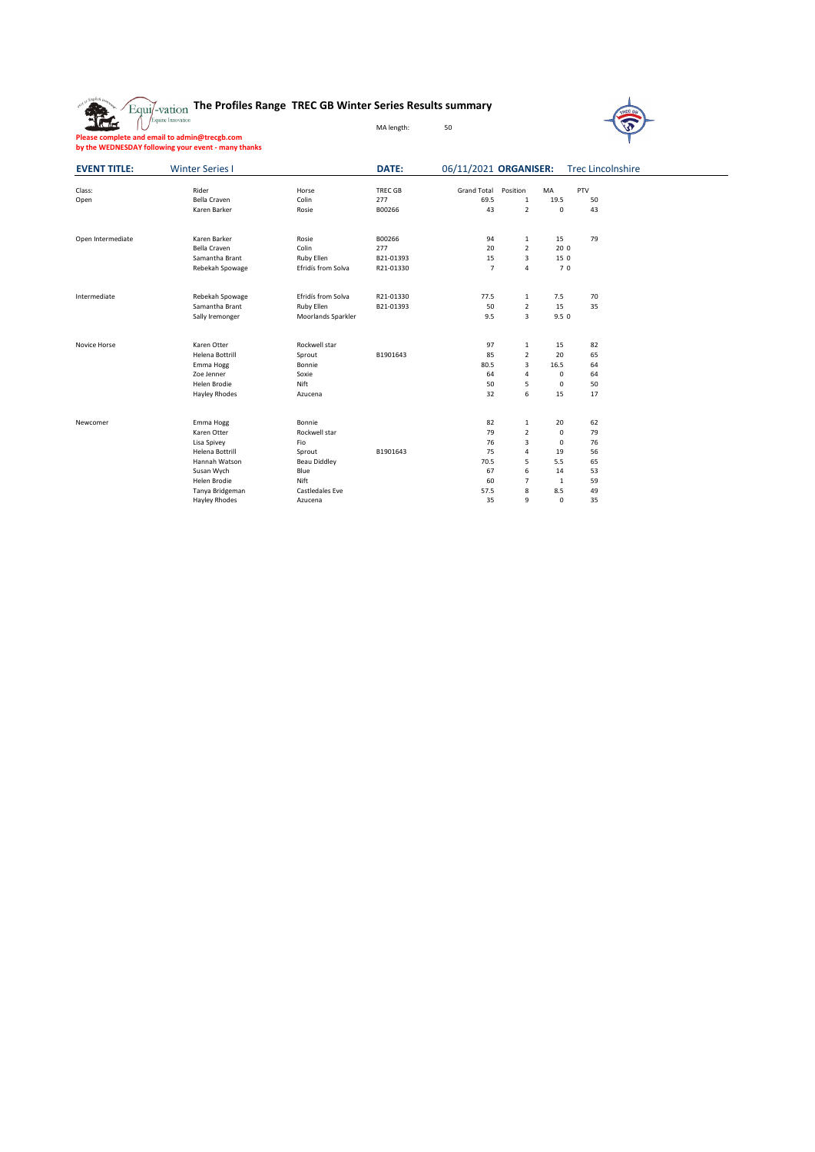|  | $\sum_{\text{Equil}-\text{vation}}$ The Profiles Range TREC GB Winter Series Results summary |  |  |
|--|----------------------------------------------------------------------------------------------|--|--|
|  |                                                                                              |  |  |

**Please complete and email to admin@trecgb.com by the WEDNESDAY following your event - many thanks**

**Axia** 



**EVENT TITLE:** Winter Series I 06/11/2021 ORGANISER: Trec Lincolnshire Class: Rider Horse TREC GB Grand Total Position MA PTV Open Bella Craven Colin 277 69.5 1 19.5 50 المساوت المساوت المساوت المساوت المساوت المساوت المساوت المساوت المساوت المساوت المساوت المساوت المساوت المساو<br>1991 - Raren Barker Rosie - B00266 - 13 2 0 43<br>13 2 0 43 Open Intermediate **Caren Barker Rosie 1988** 1994 1 15 79<br>
Bella Craven 1995 Colin 277 1 20 2 200<br>
Samantha Brant 1995 Ruby Ellen 1994-01393 15 3 15 0 Bella Craven Colin 277 20 2 20 0 Samantha Brant Ruby Ellen B21-01393 15 3 15 0 Rebekah Spowage **Efridís from Solva** R21-01330 7 4 7 0 Intermediate Rebekah Spowage Efridís from Solva R21-01330 77.5 1 7.5 70<br>
Samantha Brant Ruby Ellen B21-01393 50 2 15 35<br>
Sally Iremonger Moorlands Sparkler 9.5 3 9.5 0 Samantha Brant Ruby Ellen B21-01393 50 2 15 35 Sally Iremonger Moorlands Sparkler 9.5 3 9.5 0 Novice Horse **Karen Otter Manual Starter Rockwell star** 82 and 97 1 15 82 Helena Bottrill Sprout B1901643<br>
Helena Bottrill Sprout B1901643<br>
Emma Hogg Bonnie B001643<br>
20 Benner Soxie 1976<br>
Hayley Rhodes Naturena Artist Sprout B1901643<br>
Hayley Rhodes Azucena 32 6 15 17 Emma Hogg Bonnie Bonnie 1990 and the South America Contract Assemblance Contract Assemblance Contract Assemblance Contract Assemblance Contract Assemblance Contract Assemblance Contract Assemblance Contract Assemblance Con Zoe Jenner Soxie 64 4 0 64 المستحدث المستحدث المستحدث المستحدث المستحدث المستحدث المستحدث المستحدث المستحدث المستحدث المستحدث المستحدث ال<br>1990 - Hayley Rhodes (National Azucena (1990 - 1991 - 1991 - 1991 - 1992 - 1992 - 1992 - 1992 - 1992 - 1993 -Hayley Rhodes Newcomer Emma Hogg Bonnie 82 1 20 62 Karen Otter Rockwell star 79 2 0 79 Lisa Spivey Fio 76 3 0 76 Helena Bottrill Sprout B1901643 75 4 19 56 Hannah Watson Beau Diddley 70.5 5 5.5 65 Susan Wych Blue 67 6 14 53 Helen Brodie Nift 60 7 1 59 Tanya Bridgeman Castledales Eve 57.5 8 8.5 49 Hayley Rhodes Azucena 35 9 0 35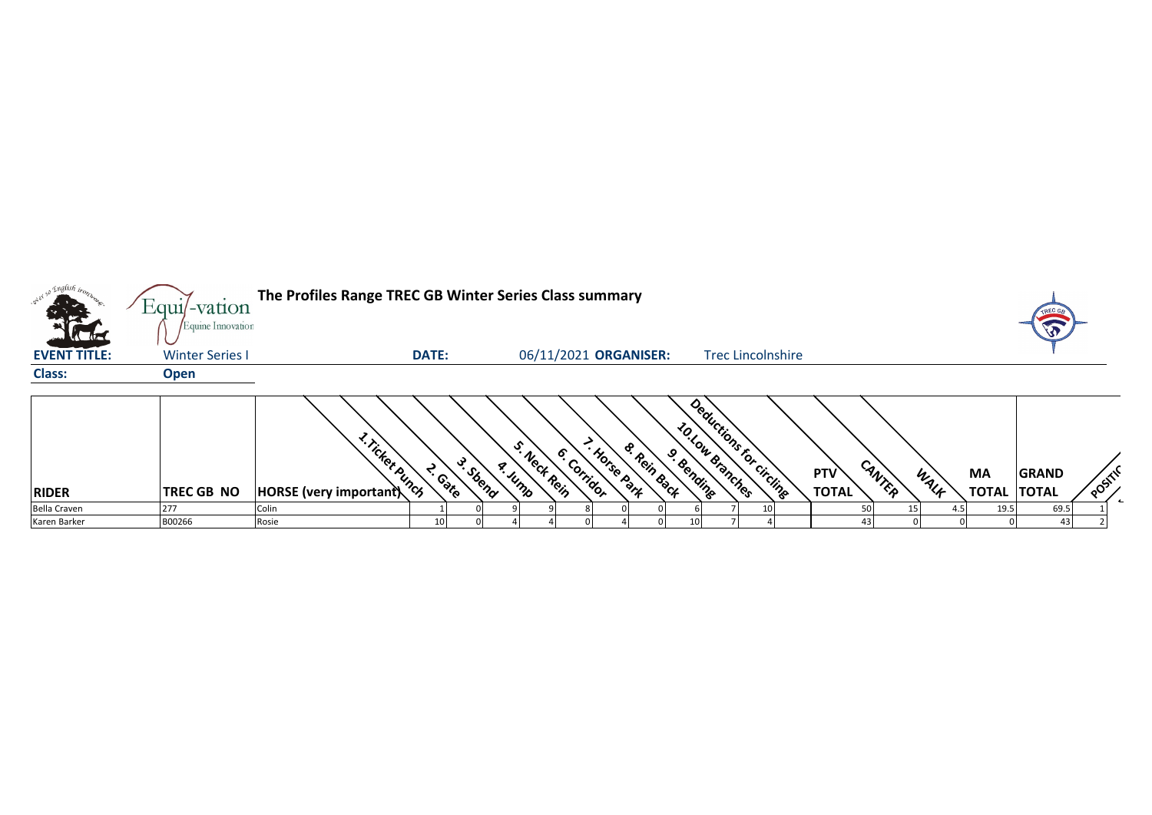|                     | $Equi$ -vation         | The Profiles Range TREC GB Winter Series Class summary |              |          |         |             |                    |                       |             |                                             |  |              |        |      |              |              |        |  |
|---------------------|------------------------|--------------------------------------------------------|--------------|----------|---------|-------------|--------------------|-----------------------|-------------|---------------------------------------------|--|--------------|--------|------|--------------|--------------|--------|--|
|                     | Equine Innovation      |                                                        |              |          |         |             |                    |                       |             |                                             |  |              |        |      |              | $\sqrt{3}$   |        |  |
| <b>EVENT TITLE:</b> | <b>Winter Series I</b> |                                                        | <b>DATE:</b> |          |         |             |                    | 06/11/2021 ORGANISER: |             | <b>Trec Lincolnshire</b>                    |  |              |        |      |              |              |        |  |
| <b>Class:</b>       | <b>Open</b>            |                                                        |              |          |         |             |                    |                       |             |                                             |  |              |        |      |              |              |        |  |
|                     |                        |                                                        |              |          |         |             |                    |                       |             |                                             |  |              |        |      |              |              |        |  |
|                     |                        |                                                        |              |          |         |             |                    |                       |             |                                             |  |              |        |      |              |              |        |  |
|                     |                        | 1. Ticket Bunch                                        |              | ىي       |         |             | <b>6. Corridor</b> | - Horse Park          | & Rein Back | Deductions for circling<br>10. Low Branches |  | <b>PTV</b>   |        |      | <b>MA</b>    | <b>GRAND</b> |        |  |
| <b>RIDER</b>        | <b>TREC GB NO</b>      | HORSE (very important)                                 | T. Gate      | J. Sbend | a. Jump | · Neck Rein |                    |                       | 9. Bending  |                                             |  | <b>TOTAL</b> | CANTER | WALF | <b>TOTAL</b> | <b>TOTAL</b> | POSTLA |  |
| <b>Bella Craven</b> | 277                    | Colin                                                  |              |          |         |             |                    |                       |             |                                             |  |              |        |      | 19.5         | 69.5         |        |  |
| Karen Barker        | B00266                 | Rosie                                                  |              |          |         |             |                    |                       |             |                                             |  |              |        |      |              | 43           |        |  |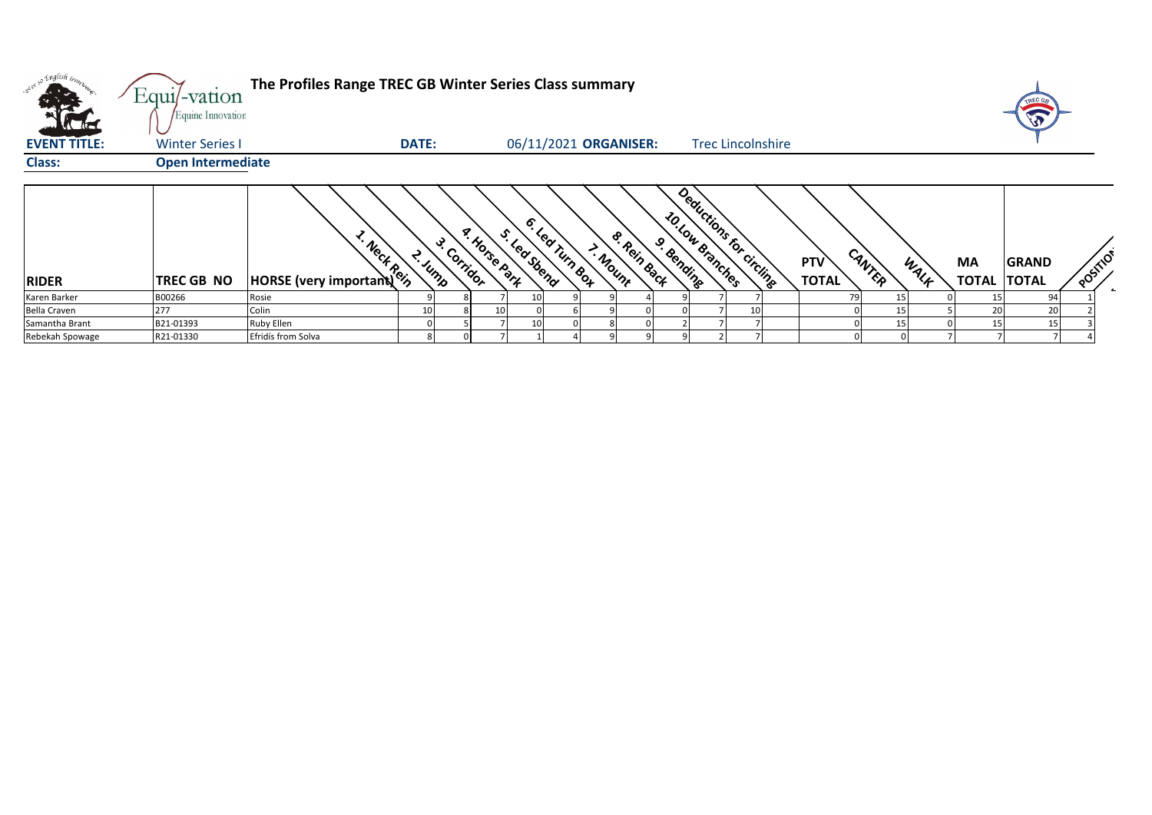| $\mathcal{L}$ . The set of $\mathcal{L}$ | Equi/-vation<br>Equine Innovation | The Profiles Range TREC GB Winter Series Class summary |              |             |                      |                                |                                         |                                      |                          |                            |                |                          |              |          |
|------------------------------------------|-----------------------------------|--------------------------------------------------------|--------------|-------------|----------------------|--------------------------------|-----------------------------------------|--------------------------------------|--------------------------|----------------------------|----------------|--------------------------|--------------|----------|
| <b>EVENT TITLE:</b>                      | <b>Winter Series I</b>            |                                                        | <b>DATE:</b> |             |                      |                                | 06/11/2021 ORGANISER:                   |                                      | <b>Trec Lincolnshire</b> |                            |                |                          |              |          |
| <b>Class:</b>                            | <b>Open Intermediate</b>          |                                                        |              |             |                      |                                |                                         |                                      |                          |                            |                |                          |              |          |
| <b>RIDER</b>                             | <b>TREC GB NO</b>                 | <b>HORSE</b> (very important)                          | L. Jump      | 3. Corridor | <b>A. Horse Part</b> | 6. Lea Tum Box<br>S. Led Stend | <b>&amp; Rein Back</b><br><b>Andunt</b> | <b>ZO LOW Branches</b><br>9. Bending | Deductions for circling  | <b>PTV</b><br><b>TOTAL</b> | CANTER<br>WALF | MA<br><b>TOTAL TOTAL</b> | <b>GRAND</b> | POSITION |
| Karen Barker                             | B00266                            | Rosie                                                  |              |             |                      |                                |                                         |                                      |                          |                            |                |                          | 94           |          |
| <b>Bella Craven</b>                      | 277                               | Colin                                                  | 10           |             | 10                   |                                |                                         |                                      |                          |                            |                | 20                       | 2C           |          |
| Samantha Brant                           | B21-01393                         | Ruby Ellen                                             |              |             |                      |                                |                                         |                                      |                          |                            |                | 15                       | 15           |          |
| Rebekah Spowage                          | R21-01330                         | Efridís from Solva                                     |              |             |                      |                                |                                         |                                      |                          |                            |                |                          |              |          |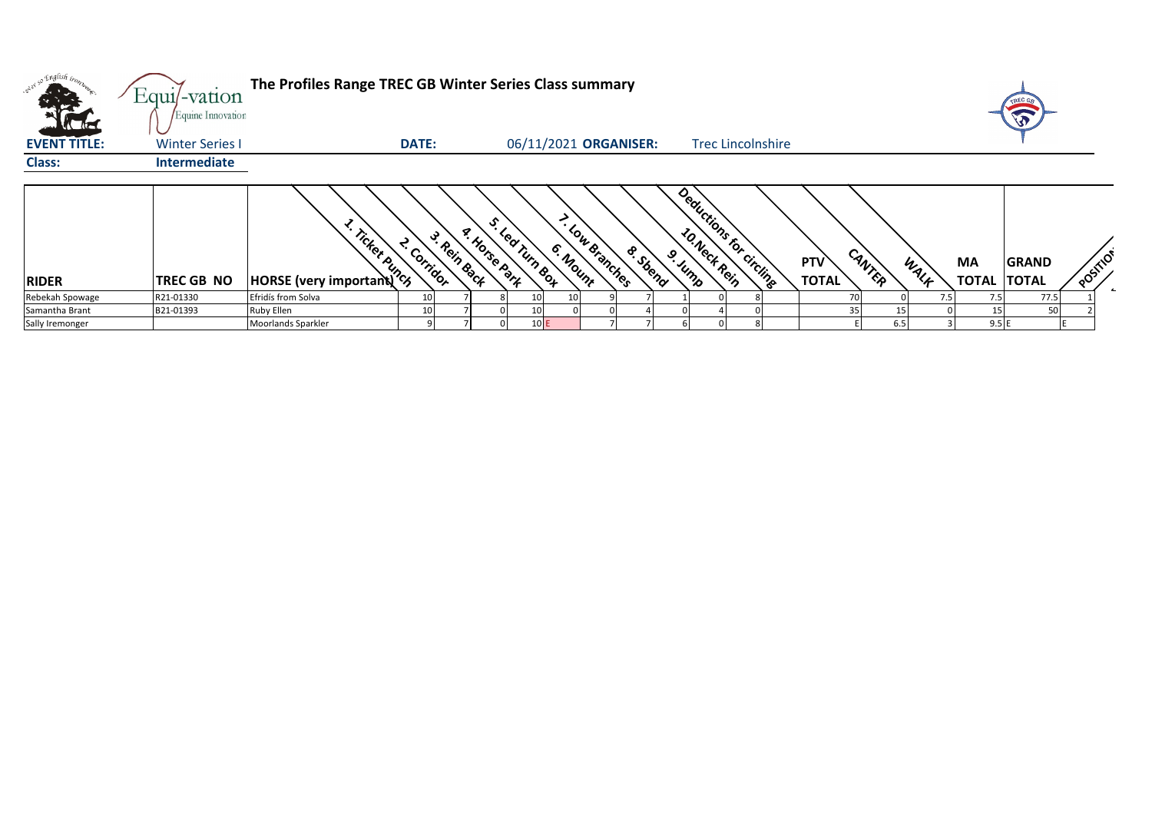|                     | Equi/-vation                                | The Profiles Range TREC GB Winter Series Class summary |                                 |                                              |                            |                            |                          |                                      |            | TREC GR                     |          |
|---------------------|---------------------------------------------|--------------------------------------------------------|---------------------------------|----------------------------------------------|----------------------------|----------------------------|--------------------------|--------------------------------------|------------|-----------------------------|----------|
| <b>EVENT TITLE:</b> | Equine Innovation<br><b>Winter Series I</b> |                                                        | DATE:                           |                                              | 06/11/2021 ORGANISER:      |                            | <b>Trec Lincolnshire</b> |                                      |            |                             |          |
| <b>Class:</b>       | <b>Intermediate</b>                         |                                                        |                                 |                                              |                            |                            |                          |                                      |            |                             |          |
| <b>RIDER</b>        | TREC GB NO                                  | <b>Example 19 Transfer 2014</b>                        | 3. Rein Back<br><b>Corridor</b> | ર્ઙ,<br><b>A. Horse Part</b><br>Led Turn Box | - Low Branches<br>6. Mount | <b>S. Stend</b><br>9. Jump | Deductions for circling  | CANTER<br><b>PTV</b><br><b>TOTAL</b> | MA<br>WALF | GRAND<br><b>TOTAL TOTAL</b> | POSITION |
| Rebekah Spowage     | R21-01330                                   | Efridís from Solva                                     |                                 |                                              |                            |                            |                          | 70                                   | 7.5<br>7.5 | 77.5                        |          |
| Samantha Brant      | B21-01393                                   | Ruby Ellen                                             |                                 |                                              |                            |                            |                          |                                      |            |                             |          |
| Sally Iremonger     |                                             | Moorlands Sparkler                                     |                                 | 10E                                          |                            |                            |                          | 6.5                                  | 9.5E       |                             |          |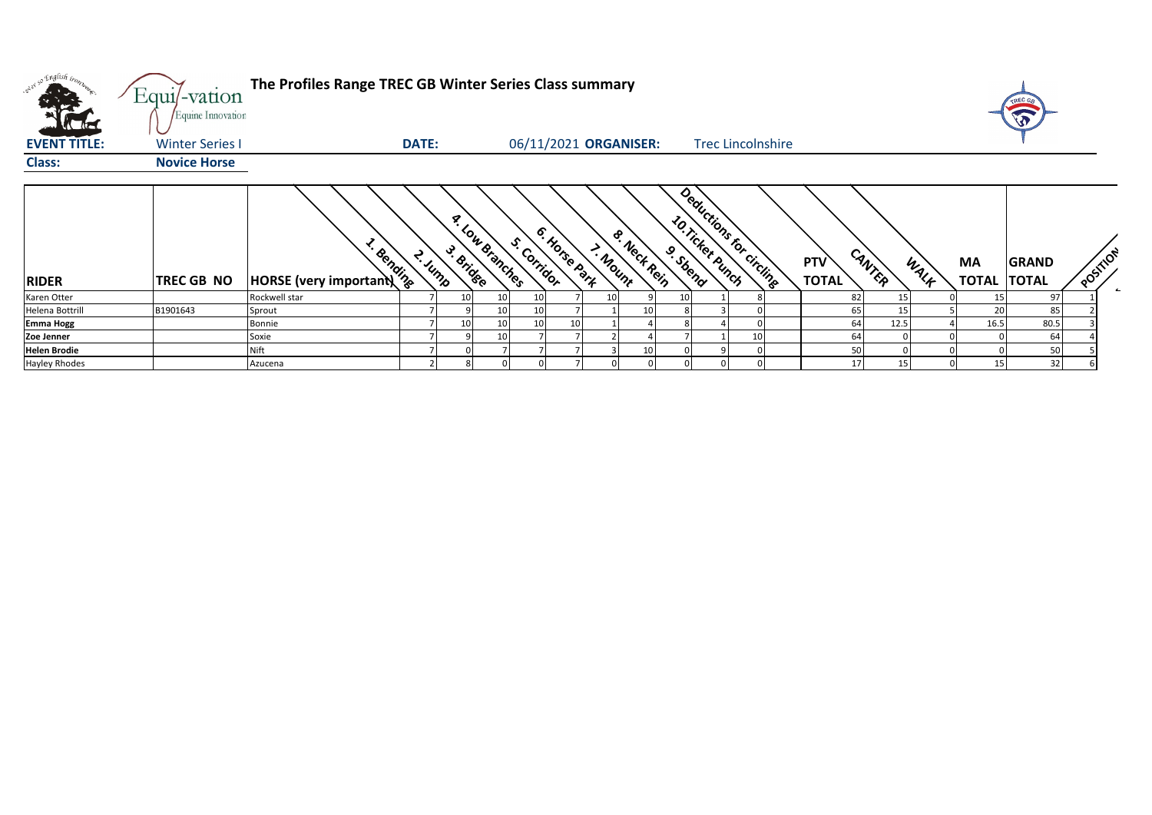| wer so English irony. | Equi/-vation<br>Equine Innovation | The Profiles Range TREC GB Winter Series Class summary |              |                        |                              |         |             |          |                  |                          |                     |                 |      |                          | TREC GE<br>$\sqrt{3}$ |          |
|-----------------------|-----------------------------------|--------------------------------------------------------|--------------|------------------------|------------------------------|---------|-------------|----------|------------------|--------------------------|---------------------|-----------------|------|--------------------------|-----------------------|----------|
| <b>EVENT TITLE:</b>   | <b>Winter Series I</b>            |                                                        | <b>DATE:</b> |                        | 06/11/2021 ORGANISER:        |         |             |          |                  | <b>Trec Lincolnshire</b> |                     |                 |      |                          |                       |          |
| <b>Class:</b>         | <b>Novice Horse</b>               |                                                        |              |                        |                              |         |             |          |                  |                          |                     |                 |      |                          |                       |          |
| <b>RIDER</b>          | TREC GB NO                        | * Bending<br>HORSE (very important)                    | 2. Jump      | <b>A. Low Branches</b> | 6. Horse part<br>S. Corridor | > Mount | & Nect Rein | 9. Sbend | 10. Ticket Punch | Deductions for Circlines | PTV<br><b>TOTAL</b> | CANTER          | WALF | MA<br><b>TOTAL TOTAL</b> | <b>GRAND</b>          | POSITION |
| Karen Otter           |                                   | Rockwell star                                          |              | 10<br>10               | 10                           |         |             |          |                  |                          | 82                  | 15              |      |                          | 97                    |          |
| Helena Bottrill       | B1901643                          | Sprout                                                 |              | 10                     | 10                           |         | 10          |          |                  |                          | 65                  | 15 <sup>1</sup> |      | 20                       | 85                    |          |
| <b>Emma Hogg</b>      |                                   | Bonnie                                                 |              | 10<br>10               | 10                           |         |             |          |                  |                          | 64                  | 12.5            |      | 16.5                     | 80.5                  |          |
| Zoe Jenner            |                                   | Soxie                                                  |              | 10                     |                              |         |             |          |                  | 10                       | 64                  |                 |      |                          | 64                    |          |
| <b>Helen Brodie</b>   |                                   | <b>Nift</b>                                            |              |                        |                              |         |             |          |                  |                          | 50                  |                 |      |                          | 50                    |          |
| Hayley Rhodes         |                                   | Azucena                                                |              |                        |                              |         |             |          |                  |                          |                     | 15 <sup>1</sup> |      |                          | 32                    |          |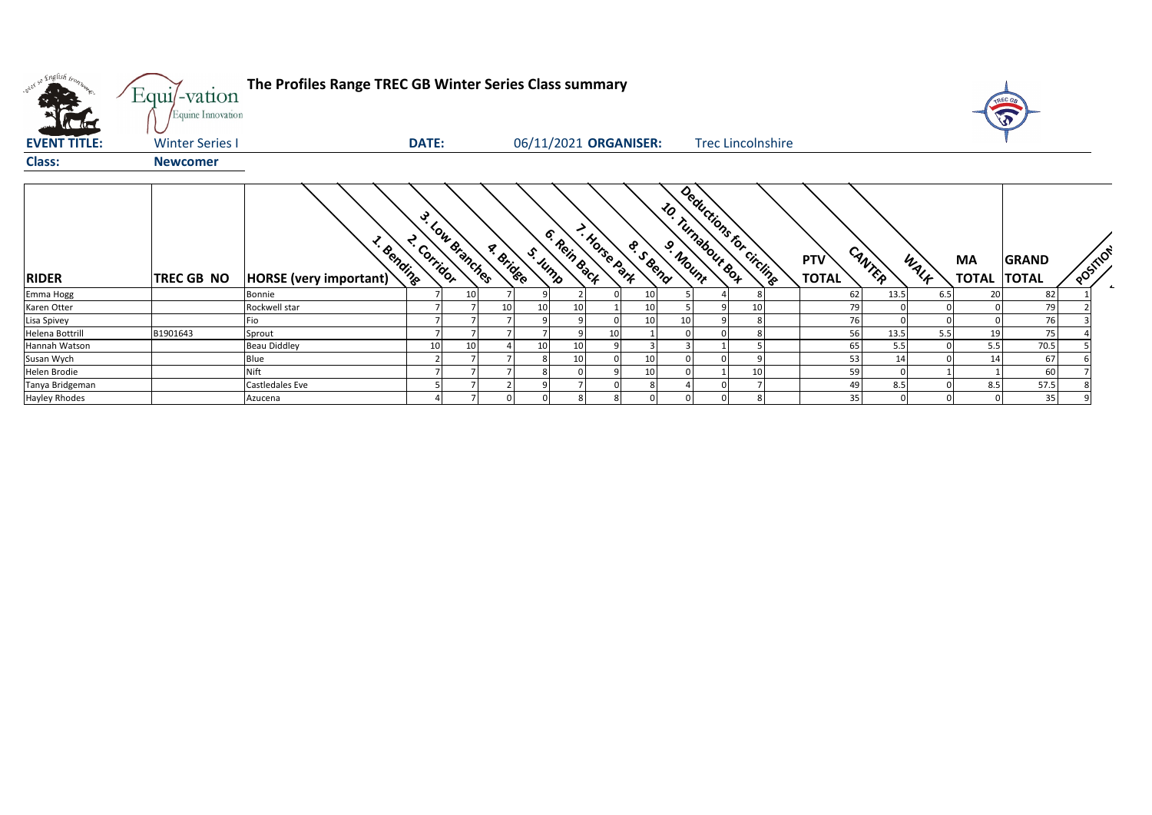| what so English bronze. | Equi/-vation<br>Equine Innovation | The Profiles Range TREC GB Winter Series Class summary |              |                 |           |         |                       |               |                 |    |                                              |  |                            |        |      |                                 | <b>REC GA</b> |                        |
|-------------------------|-----------------------------------|--------------------------------------------------------|--------------|-----------------|-----------|---------|-----------------------|---------------|-----------------|----|----------------------------------------------|--|----------------------------|--------|------|---------------------------------|---------------|------------------------|
| <b>EVENT TITLE:</b>     | <b>Winter Series I</b>            |                                                        | <b>DATE:</b> |                 |           |         | 06/11/2021 ORGANISER: |               |                 |    | <b>Trec Lincolnshire</b>                     |  |                            |        |      |                                 |               |                        |
| <b>Class:</b>           | <b>Newcomer</b>                   |                                                        |              |                 |           |         |                       |               |                 |    |                                              |  |                            |        |      |                                 |               |                        |
| <b>RIDER</b>            | <b>TREC GB NO</b>                 | <b>L. Bending</b><br>HORSE (very important)            | 2. Corridor  | 3. Low Branches | a. Bridge | S. Jump | 6. Rein Back          | T. Horse park | <b>S. SBOND</b> |    | Deductions for circling<br>10. Turnabout Box |  | <b>PTV</b><br><b>TOTAL</b> | CANTER | WALK | <b>MA</b><br><b>TOTAL TOTAL</b> | <b>GRAND</b>  | POSTILON<br>$\epsilon$ |
| Emma Hogg               |                                   | Bonnie                                                 |              | 10 <sup>1</sup> |           |         |                       |               | 10              |    |                                              |  | 62                         | 13.5   | 6.5  | 20                              | 82            |                        |
| Karen Otter             |                                   | Rockwell star                                          |              |                 | 10        | 10      |                       |               | 10              |    |                                              |  | 79                         |        |      |                                 | 79            |                        |
| Lisa Spivey             |                                   | Ξiο                                                    |              |                 |           |         |                       |               | 10 <sup>1</sup> | 10 |                                              |  | 76                         |        |      |                                 | 76            |                        |
| Helena Bottrill         | B1901643                          | Sprout                                                 |              |                 |           |         |                       | 10            |                 |    |                                              |  | 56                         | 13.5   | 5.5  | 19                              | 75            |                        |
| Hannah Watson           |                                   | <b>Beau Diddley</b>                                    | 10           | 10              |           | 10      |                       |               |                 |    |                                              |  | 65                         | 5.5    |      | 5.5                             | 70.5          |                        |
| Susan Wych              |                                   | Blue                                                   |              |                 |           |         | 10                    |               | 10              |    |                                              |  | 53                         | 14     |      | 14                              | 67            |                        |
| Helen Brodie            |                                   | Nift                                                   |              |                 |           |         |                       |               | 10              |    |                                              |  | 59                         |        |      |                                 | 60            |                        |
| Tanya Bridgeman         |                                   | Castledales Eve                                        |              |                 |           |         |                       |               |                 |    |                                              |  | 49                         | 8.5    |      | 8.5                             | 57.5          |                        |
| Hayley Rhodes           |                                   | Azucena                                                |              |                 |           |         |                       |               |                 |    |                                              |  | 35                         |        |      |                                 | 35            |                        |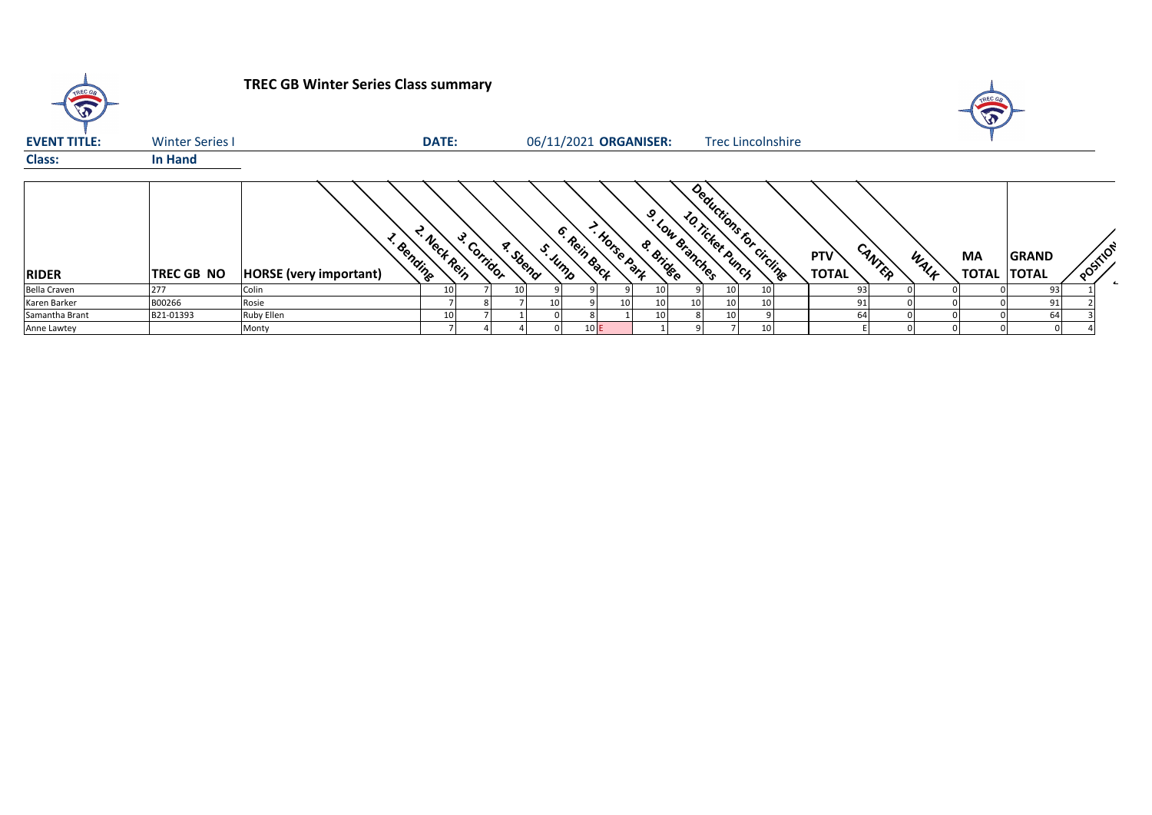| TREC GB<br>$\widehat{\mathbf{v}}$ |                        | <b>TREC GB Winter Series Class summary</b>         |              |             |         |                         |                 |                             |                                               |  |                            |        |      | T                               |              |          |              |
|-----------------------------------|------------------------|----------------------------------------------------|--------------|-------------|---------|-------------------------|-----------------|-----------------------------|-----------------------------------------------|--|----------------------------|--------|------|---------------------------------|--------------|----------|--------------|
| <b>EVENT TITLE:</b>               | <b>Winter Series I</b> |                                                    | <b>DATE:</b> |             |         |                         |                 | 06/11/2021 ORGANISER:       | <b>Trec Lincolnshire</b>                      |  |                            |        |      |                                 |              |          |              |
| <b>Class:</b>                     | In Hand                |                                                    |              |             |         |                         |                 |                             |                                               |  |                            |        |      |                                 |              |          |              |
| <b>RIDER</b>                      | TREC GB NO             | <b>L. Bending</b><br><b>HORSE</b> (very important) | · Nect Rein  | 3. Corridor | a Sbend | 6. Rein Back<br>S. Jump | - Horse Park    | 9. Low Branches<br>& Bridge | Deductions for circlingen<br>10. Ticket Bunch |  | <b>PTV</b><br><b>TOTAL</b> | CANTER | WALF | <b>MA</b><br><b>TOTAL TOTAL</b> | <b>GRAND</b> | POSITION | $\leftarrow$ |
| <b>Bella Craven</b>               | 277                    | Colin                                              |              |             | 10      |                         |                 |                             | 10 <sub>1</sub>                               |  | 93                         |        |      |                                 | 93           |          |              |
| Karen Barker                      | B00266                 | Rosie                                              |              |             |         |                         | 10 <sup>1</sup> |                             | 10<br>10 I                                    |  | 91                         |        |      |                                 | 91           |          |              |
| Samantha Brant                    | B21-01393              | <b>Ruby Ellen</b>                                  |              |             |         |                         |                 |                             | 10                                            |  |                            |        |      |                                 | 64           |          |              |
| Anne Lawtey                       |                        | Monty                                              |              |             |         | 10E                     |                 |                             |                                               |  |                            |        |      |                                 |              |          |              |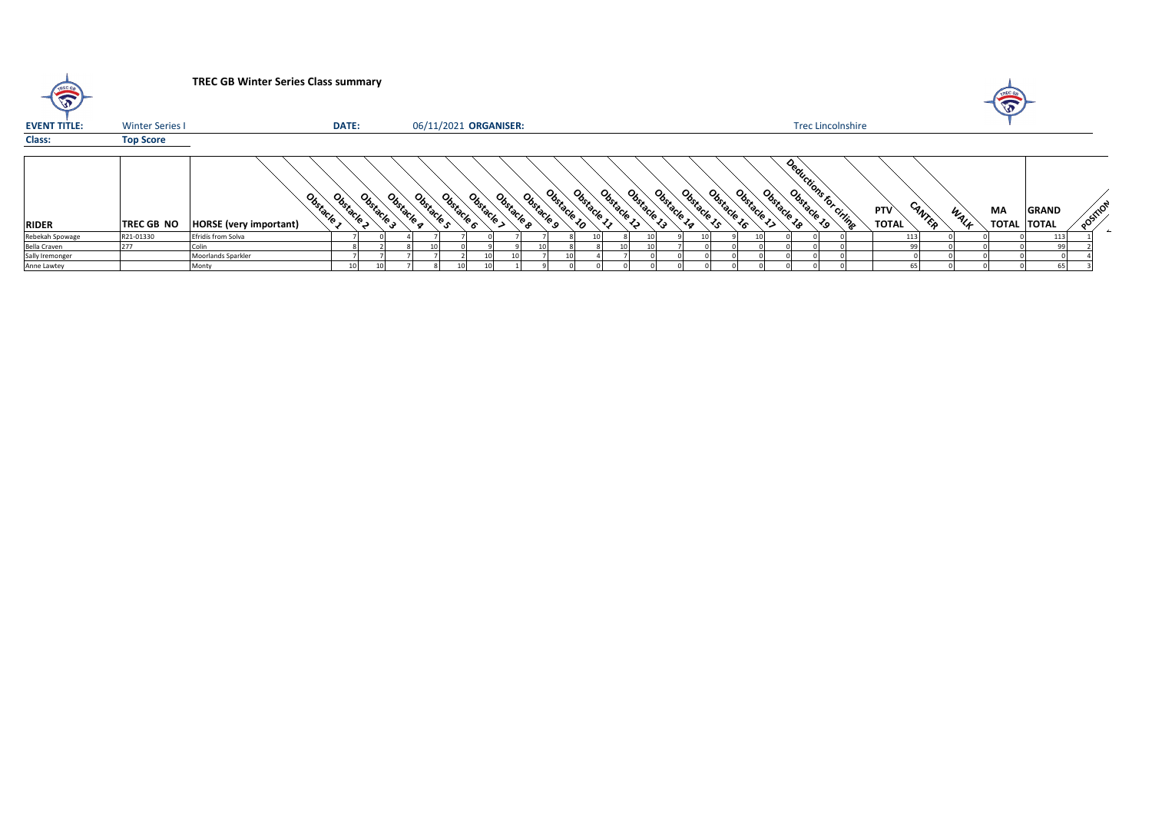| $\bigtriangledown$  |                        | <b>TREC GB Winter Series Class summary</b>  |                 |            |                          |            |                          |                       |             |          |          |                |                |                 |             |             |             |                          |  |                            |        |      | $\sqrt{2}$ |                                    |         |
|---------------------|------------------------|---------------------------------------------|-----------------|------------|--------------------------|------------|--------------------------|-----------------------|-------------|----------|----------|----------------|----------------|-----------------|-------------|-------------|-------------|--------------------------|--|----------------------------|--------|------|------------|------------------------------------|---------|
| <b>EVENT TITLE:</b> | <b>Winter Series I</b> |                                             | DATE:           |            |                          |            | 06/11/2021 ORGANISER:    |                       |             |          |          |                |                |                 |             |             |             | <b>Trec Lincolnshire</b> |  |                            |        |      |            |                                    |         |
| Class:              | <b>Top Score</b>       |                                             |                 |            |                          |            |                          |                       |             |          |          |                |                |                 |             |             |             |                          |  |                            |        |      |            |                                    |         |
| <b>RIDER</b>        | TREC GB NO             | Obstacle s<br><b>HORSE</b> (very important) | Obstacle        | Obstacle 3 | Obstacle s<br>Obstacle a | Obstacle 6 | Obstacle ><br>Obstacle a | Obstacle <sub>9</sub> | Obstacle 10 | Obstacle | Obstacle | Obstacle<br>د. | Obstacle<br>Ç. | Obstacle        | Obstacle 16 | Obstacle 17 | Obstacle 18 | Deauctions to cities     |  | <b>PTV</b><br><b>TOTAL</b> | CANTER | WALK | МA         | <b>GRAND</b><br><b>TOTAL TOTAL</b> | POSTION |
| Rebekah Spowage     | R21-01330              | Efridís from Solva                          |                 |            |                          |            |                          |                       |             |          |          |                |                | 10 <sub>1</sub> |             |             |             |                          |  |                            | 113    |      |            | 113                                |         |
| Bella Craven        |                        | Colin                                       |                 |            |                          |            |                          |                       |             |          |          |                |                |                 |             |             |             |                          |  |                            | 99     |      |            |                                    |         |
| Sally Iremonger     |                        | Moorlands Sparkler                          |                 |            |                          |            |                          |                       |             |          |          |                |                |                 |             |             |             |                          |  |                            |        |      |            |                                    |         |
| Anne Lawtey         |                        | Monty                                       | 10 <sup>1</sup> |            |                          |            |                          |                       |             |          |          |                |                |                 |             |             |             |                          |  |                            |        |      |            |                                    |         |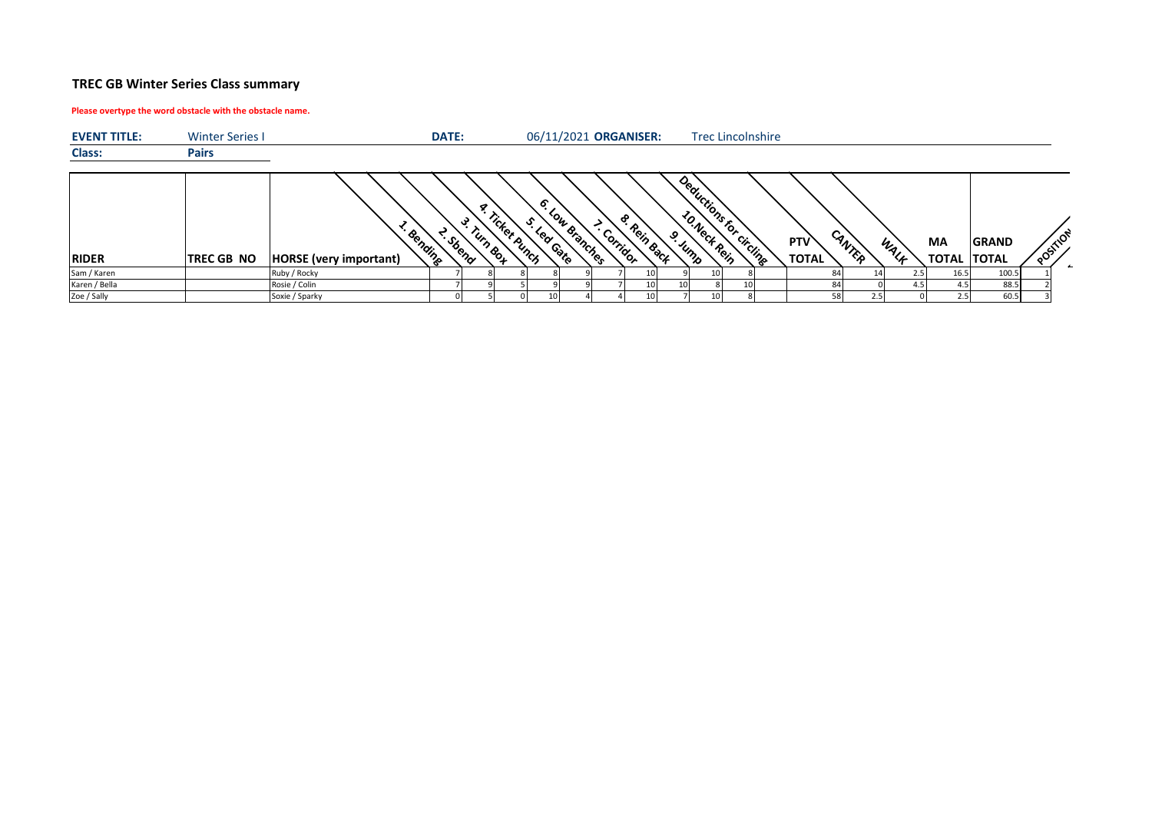## **TREC GB Winter Series Class summary**

## **Please overtype the word obstacle with the obstacle name.**

| <b>EVENT TITLE:</b> | <b>Winter Series I</b> |                                            | <b>DATE:</b> |                                         |                       |              | 06/11/2021 ORGANISER: |           |         |                 | <b>Trec Lincolnshire</b> |                                      |      |      |                                 |              |          |
|---------------------|------------------------|--------------------------------------------|--------------|-----------------------------------------|-----------------------|--------------|-----------------------|-----------|---------|-----------------|--------------------------|--------------------------------------|------|------|---------------------------------|--------------|----------|
| Class:              | <b>Pairs</b>           |                                            |              |                                         |                       |              |                       |           |         |                 |                          |                                      |      |      |                                 |              |          |
| <b>RIDER</b>        | <b>TREC GB NO</b>      | · Bending<br><b>HORSE</b> (very important) | · Sbeno      | ╭<br>"icket punch<br><sup>rum Box</sup> | Ó.<br>ა≏<br>Lear Gate | Low Branches | ൙<br>. Corridor       | Rein Back | o. Jump |                 | Deductions for circuits  | CANTER<br><b>PTV</b><br><b>TOTAL</b> |      | WALF | <b>MA</b><br><b>TOTAL TOTAL</b> | <b>GRAND</b> | POSTILON |
| Sam / Karen         |                        | Ruby / Rocky                               |              |                                         |                       |              |                       |           |         | 10 <sup>1</sup> |                          |                                      |      |      | 16.5                            | 100.5        |          |
| Karen / Bella       |                        | Rosie / Colin                              |              |                                         |                       |              |                       |           |         |                 |                          |                                      |      |      | 4.5                             | 88.5         |          |
| Zoe / Sally         |                        | Soxie / Sparky                             |              |                                         |                       |              |                       |           |         | 10              |                          |                                      | 2.51 |      | 2.5                             | 60.5         |          |